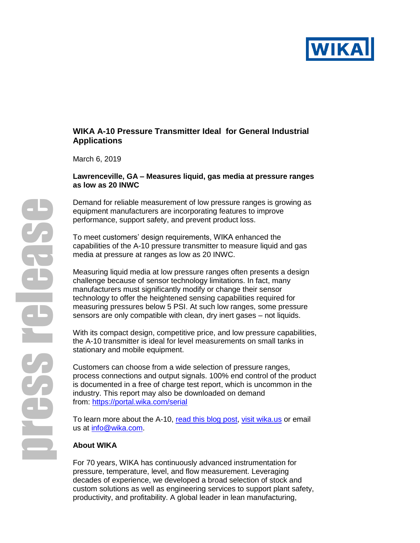

# **WIKA A-10 Pressure Transmitter Ideal for General Industrial Applications**

March 6, 2019

### **Lawrenceville, GA – Measures liquid, gas media at pressure ranges as low as 20 INWC**

Demand for reliable measurement of low pressure ranges is growing as equipment manufacturers are incorporating features to improve performance, support safety, and prevent product loss.

To meet customers' design requirements, WIKA enhanced the capabilities of the A-10 pressure transmitter to measure liquid and gas media at pressure at ranges as low as 20 INWC.

Measuring liquid media at low pressure ranges often presents a design challenge because of sensor technology limitations. In fact, many manufacturers must significantly modify or change their sensor technology to offer the heightened sensing capabilities required for measuring pressures below 5 PSI. At such low ranges, some pressure sensors are only compatible with clean, dry inert gases – not liquids.

With its compact design, competitive price, and low pressure capabilities, the A-10 transmitter is ideal for level measurements on small tanks in stationary and mobile equipment.

Customers can choose from a wide selection of pressure ranges, process connections and output signals. 100% end control of the product is documented in a free of charge test report, which is uncommon in the industry. This report may also be downloaded on demand from: <https://portal.wika.com/serial>

To learn more about the A-10, [read this blog post,](https://blog.wika.us/products/pressure-products/accuracy-pressure-sensors-fluid-level-monitoring/) [visit wika.us](http://www.wika.us/a_10_en_us.WIKA) or email us at [info@wika.com.](mailto:info@wika.com)

### **About WIKA**

For 70 years, WIKA has continuously advanced instrumentation for pressure, temperature, level, and flow measurement. Leveraging decades of experience, we developed a broad selection of stock and custom solutions as well as engineering services to support plant safety, productivity, and profitability. A global leader in lean manufacturing,